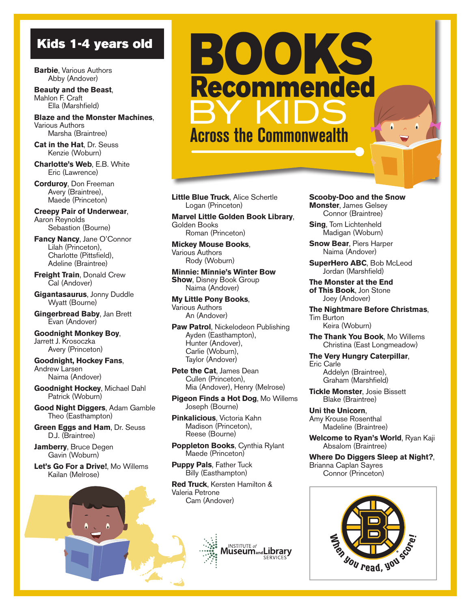**Barbie**, Various Authors Abby (Andover)

**Beauty and the Beast**, Mahlon F. Craft Ella (Marshfield)

**Blaze and the Monster Machines**, Various Authors Marsha (Braintree)

**Cat in the Hat**, Dr. Seuss Kenzie (Woburn)

**Charlotte's Web**, E.B. White Eric (Lawrence)

**Corduroy**, Don Freeman Avery (Braintree), Maede (Princeton)

**Creepy Pair of Underwear**, Aaron Reynolds Sebastion (Bourne)

**Fancy Nancy**, Jane O'Connor Lilah (Princeton), Charlotte (Pittsfield), Adeline (Braintree)

**Freight Train**, Donald Crew Cal (Andover)

**Gigantasaurus**, Jonny Duddle Wyatt (Bourne)

**Gingerbread Baby**, Jan Brett Evan (Andover)

**Goodnight Monkey Boy**, Jarrett J. Krosoczka Avery (Princeton)

**Goodnight, Hockey Fans**, Andrew Larsen Naima (Andover)

**Goodnight Hockey**, Michael Dahl Patrick (Woburn)

**Good Night Diggers**, Adam Gamble Theo (Easthampton)

**Green Eggs and Ham**, Dr. Seuss D.J. (Braintree)

**Jamberry**, Bruce Degen Gavin (Woburn)

**Let's Go For a Drive!**, Mo Willems Kailan (Melrose)



**Little Blue Truck**, Alice Schertle Logan (Princeton)

**Marvel Little Golden Book Library**, Golden Books Roman (Princeton)

**Mickey Mouse Books**, Various Authors Rody (Woburn)

**Minnie: Minnie's Winter Bow Show, Disney Book Group** Naima (Andover)

**My Little Pony Books**, Various Authors An (Andover)

**Paw Patrol**, Nickelodeon Publishing Ayden (Easthampton), Hunter (Andover), Carlie (Woburn), Taylor (Andover)

**Pete the Cat**, James Dean Cullen (Princeton), Mia (Andover), Henry (Melrose)

**Pigeon Finds a Hot Dog**, Mo Willems Joseph (Bourne)

**Pinkalicious**, Victoria Kahn Madison (Princeton), Reese (Bourne)

**Poppleton Books**, Cynthia Rylant Maede (Princeton)

**Puppy Pals**, Father Tuck Billy (Easthampton)

**Red Truck**, Kersten Hamilton & Valeria Petrone Cam (Andover)



**Scooby-Doo and the Snow Monster**, James Gelsey Connor (Braintree)

**Sing**, Tom Lichtenheld Madigan (Woburn)

**Snow Bear**, Piers Harper Naima (Andover)

**SuperHero ABC**, Bob McLeod Jordan (Marshfield)

**The Monster at the End of This Book**, Jon Stone Joey (Andover)

**The Nightmare Before Christmas**, Tim Burton

Keira (Woburn)

**The Thank You Book**, Mo Willems Christina (East Longmeadow)

**The Very Hungry Caterpillar**, Eric Carle Addelyn (Braintree),

Graham (Marshfield)

**Tickle Monster**, Josie Bissett Blake (Braintree)

**Uni the Unicorn**, Amy Krouse Rosenthal Madeline (Braintree)

**Welcome to Ryan's World**, Ryan Kaji Absalom (Braintree)

**Where Do Diggers Sleep at Night?**, Brianna Caplan Sayres Connor (Princeton)

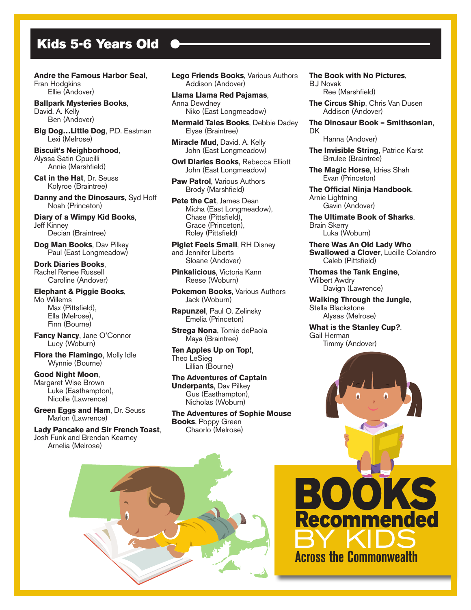## Kids 5-6 Years Old

**Andre the Famous Harbor Seal**, Fran Hodgkins Ellie (Andover)

**Ballpark Mysteries Books**, David. A. Kelly Ben (Andover)

**Big Dog…Little Dog**, P.D. Eastman Lexi (Melrose)

**Biscuit's Neighborhood**, Alyssa Satin Cpucilli Annie (Marshfield)

**Cat in the Hat**, Dr. Seuss Kolyroe (Braintree)

**Danny and the Dinosaurs**, Syd Hoff Noah (Princeton)

**Diary of a Wimpy Kid Books**, Jeff Kinney Decian (Braintree)

**Dog Man Books**, Dav Pilkey Paul (East Longmeadow)

**Dork Diaries Books**, Rachel Renee Russell Caroline (Andover)

## **Elephant & Piggie Books**, Mo Willems

 Max (Pittsfield), Ella (Melrose), Finn (Bourne)

**Fancy Nancy**, Jane O'Connor Lucy (Woburn)

**Flora the Flamingo**, Molly Idle Wynnie (Bourne)

**Good Night Moon**, Margaret Wise Brown Luke (Easthampton), Nicolle (Lawrence)

**Green Eggs and Ham**, Dr. Seuss Marlon (Lawrence)

**Lady Pancake and Sir French Toast**, Josh Funk and Brendan Kearney Arnelia (Melrose)

**Lego Friends Books**, Various Authors Addison (Andover)

**Llama Llama Red Pajamas**, Anna Dewdney Niko (East Longmeadow)

**Mermaid Tales Books**, Debbie Dadey Elyse (Braintree)

**Miracle Mud**, David. A. Kelly John (East Longmeadow)

**Owl Diaries Books**, Rebecca Elliott John (East Longmeadow)

**Paw Patrol**, Various Authors Brody (Marshfield)

**Pete the Cat**, James Dean Micha (East Longmeadow), Chase (Pittsfield), Grace (Princeton), Roley (Pittsfield)

**Piglet Feels Small**, RH Disney and Jennifer Liberts Sloane (Andover)

**Pinkalicious**, Victoria Kann Reese (Woburn)

**Pokemon Books**, Various Authors Jack (Woburn)

**Rapunzel**, Paul O. Zelinsky Emelia (Princeton)

**Strega Nona**, Tomie dePaola Maya (Braintree)

**Ten Apples Up on Top!**, Theo LeSieg Lillian (Bourne)

## **The Adventures of Captain Underpants**, Dav Pilkey Gus (Easthampton), Nicholas (Woburn)

**The Adventures of Sophie Mouse Books**, Poppy Green Chaorlo (Melrose)



B.J Novak Ree (Marshfield)

**The Circus Ship**, Chris Van Dusen Addison (Andover)

**The Dinosaur Book – Smithsonian**, **DK** 

Hanna (Andover)

**The Invisible String**, Patrice Karst Brrulee (Braintree)

**The Magic Horse**, Idries Shah Evan (Princeton)

**The Official Ninja Handbook**, Arnie Lightning Gavin (Andover)

**The Ultimate Book of Sharks**, Brain Skerry Luka (Woburn)

**There Was An Old Lady Who Swallowed a Clover, Lucille Colandro** Caleb (Pittsfield)

**Thomas the Tank Engine**, Wilbert Awdry Davign (Lawrence)

**Walking Through the Jungle**, Stella Blackstone Alysas (Melrose)

**What is the Stanley Cup?**, Gail Herman Timmy (Andover)



BOOKS

Recommended

BY KIDS

 **Across the Commonwealth**

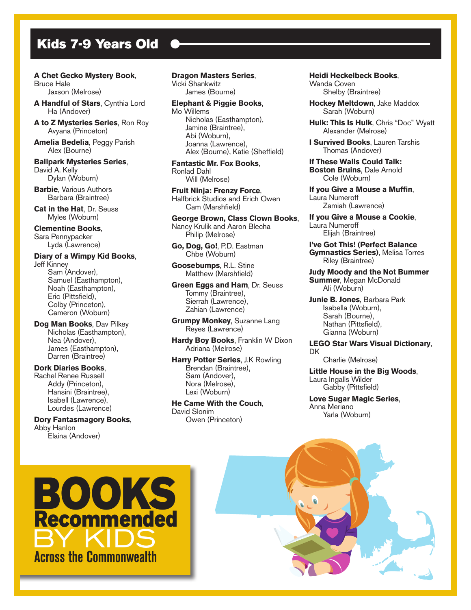# Kids 7-9 Years Old

## **A Chet Gecko Mystery Book**,

Bruce Hale Jaxson (Melrose)

**A Handful of Stars**, Cynthia Lord Ha (Andover)

**A to Z Mysteries Series**, Ron Roy Avyana (Princeton)

**Amelia Bedelia**, Peggy Parish Alex (Bourne)

**Ballpark Mysteries Series**, David A. Kelly Dylan (Woburn)

**Barbie**, Various Authors Barbara (Braintree)

**Cat in the Hat**, Dr. Seuss Myles (Woburn)

## **Clementine Books**, Sara Pennypacker

Lyda (Lawrence)

#### **Diary of a Wimpy Kid Books**, Jeff Kinney

 Sam (Andover), Samuel (Easthampton), Noah (Easthampton), Eric (Pittsfield), Colby (Princeton), Cameron (Woburn)

**Dog Man Books**, Dav Pilkey Nicholas (Easthampton), Nea (Andover), James (Easthampton), Darren (Braintree)

## **Dork Diaries Books**, Rachel Renee Russell Addy (Princeton), Hansini (Braintree), Isabell (Lawrence), Lourdes (Lawrence)

**Dory Fantasmagory Books**, Abby Hanlon Elaina (Andover)

**Dragon Masters Series**, Vicki Shankwitz James (Bourne)

## **Elephant & Piggie Books**, Mo Willems

 Nicholas (Easthampton), Jamine (Braintree), Abi (Woburn), Joanna (Lawrence), Alex (Bourne), Katie (Sheffield)

**Fantastic Mr. Fox Books**, Ronlad Dahl Will (Melrose)

**Fruit Ninja: Frenzy Force**, Halfbrick Studios and Erich Owen Cam (Marshfield)

**George Brown, Class Clown Books**, Nancy Krulik and Aaron Blecha Philip (Melrose)

**Go, Dog, Go!**, P.D. Eastman Chbe (Woburn)

**Goosebumps**, R.L. Stine Matthew (Marshfield)

**Green Eggs and Ham**, Dr. Seuss Tommy (Braintree), Sierrah (Lawrence), Zahian (Lawrence)

**Grumpy Monkey**, Suzanne Lang Reyes (Lawrence)

**Hardy Boy Books**, Franklin W Dixon Adriana (Melrose)

**Harry Potter Series**, J.K Rowling Brendan (Braintree), Sam (Andover), Nora (Melrose), Lexi (Woburn)

**He Came With the Couch**, David Slonim Owen (Princeton)

**Heidi Heckelbeck Books**,

Wanda Coven Shelby (Braintree)

**Hockey Meltdown**, Jake Maddox Sarah (Woburn)

**Hulk: This Is Hulk**, Chris "Doc" Wyatt Alexander (Melrose)

**I Survived Books**, Lauren Tarshis Thomas (Andover)

**If These Walls Could Talk: Boston Bruins**, Dale Arnold Cole (Woburn)

**If you Give a Mouse a Muffin**, Laura Numeroff Zamiah (Lawrence)

**If you Give a Mouse a Cookie**, Laura Numeroff Elijah (Braintree)

**I've Got This! (Perfect Balance Gymnastics Series)**, Melisa Torres Riley (Braintree)

**Judy Moody and the Not Bummer Summer**, Megan McDonald Ali (Woburn)

**Junie B. Jones**, Barbara Park Isabella (Woburn), Sarah (Bourne), Nathan (Pittsfield), Gianna (Woburn)

**LEGO Star Wars Visual Dictionary**, **DK** 

Charlie (Melrose)

**Little House in the Big Woods**, Laura Ingalls Wilder Gabby (Pittsfield)

**Love Sugar Magic Series**, Anna Meriano Yarla (Woburn)



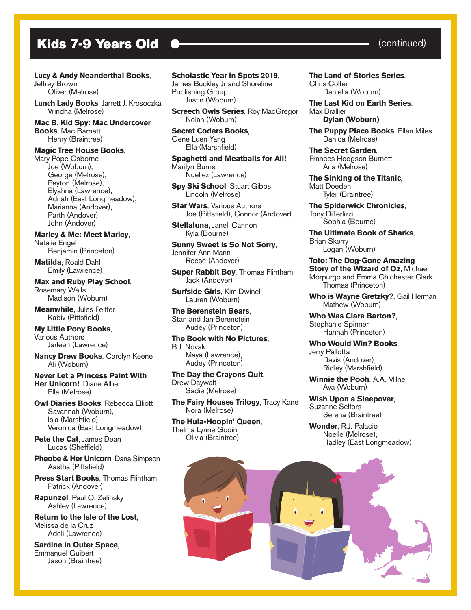# Kids 7-9 Years Old  $\bullet$  (continued)

## **Lucy & Andy Neanderthal Books**,

Jeffrey Brown Oliver (Melrose)

**Lunch Lady Books**, Jarrett J. Krosoczka Vrindha (Melrose)

**Mac B. Kid Spy: Mac Undercover Books**, Mac Barnett Henry (Braintree)

#### **Magic Tree House Books**,

Mary Pope Osborne Joe (Woburn), George (Melrose), Peyton (Melrose), Elyahna (Lawrence), Adriah (East Longmeadow), Marianna (Andover), Parth (Andover), John (Andover)

**Marley & Me: Meet Marley**, Natalie Engel

Benjamin (Princeton)

**Matilda**, Roald Dahl Emily (Lawrence)

**Max and Ruby Play School**, Rosemary Wells

Madison (Woburn)

**Meanwhile**, Jules Feiffer Kabiv (Pittsfield)

**My Little Pony Books**, Various Authors Jarleen (Lawrence)

**Nancy Drew Books**, Carolyn Keene Ali (Woburn)

**Never Let a Princess Paint With Her Unicorn!**, Diane Alber Ella (Melrose)

**Owl Diaries Books**, Rebecca Elliott Savannah (Woburn), Isla (Marshfield), Veronica (East Longmeadow)

**Pete the Cat**, James Dean Lucas (Sheffield)

**Pheobe & Her Unicorn**, Dana Simpson Aastha (Pittsfield)

**Press Start Books**, Thomas Flintham Patrick (Andover)

**Rapunzel**, Paul O. Zelinsky Ashley (Lawrence)

**Return to the Isle of the Lost**, Melissa de la Cruz Adeli (Lawrence)

**Sardine in Outer Space**, Emmanuel Guibert Jason (Braintree)

## **Scholastic Year in Spots 2019**,

James Buckley Jr and Shoreline Publishing Group Justin (Woburn)

**Screech Owls Series, Roy MacGregor** Nolan (Woburn)

**Secret Coders Books**, Gene Luen Yang Ella (Marshfield)

**Spaghetti and Meatballs for All!**, Marilyn Burns Nueliez (Lawrence)

**Spy Ski School**, Stuart Gibbs Lincoln (Melrose)

**Star Wars**, Various Authors Joe (Pittsfield), Connor (Andover)

**Stellaluna**, Janell Cannon Kyla (Bourne)

**Sunny Sweet is So Not Sorry**, Jennifer Ann Mann Reese (Andover)

**Super Rabbit Bov. Thomas Flintham** Jack (Andover)

**Surfside Girls**, Kim Dwinell Lauren (Woburn)

**The Berenstein Bears**, Stan and Jan Berenstein Audey (Princeton)

**The Book with No Pictures**, B.J. Novak Maya (Lawrence), Audey (Princeton)

**The Day the Crayons Quit**, Drew Daywalt Sadie (Melrose)

**The Fairy Houses Trilogy**, Tracy Kane Nora (Melrose)

**The Hula-Hoopin' Queen**, Thelma Lynne Godin Olivia (Braintree)

**The Land of Stories Series**, Chris Colfer Daniella (Woburn)

**The Last Kid on Earth Series**, Max Brallier **Dylan (Woburn)**

**The Puppy Place Books**, Ellen Miles Danica (Melrose)

**The Secret Garden**, Frances Hodgson Burnett Aria (Melrose)

**The Sinking of the Titanic**, Matt Doeden Tyler (Braintree)

**The Spiderwick Chronicles**, Tony DiTerlizzi Sophia (Bourne)

**The Ultimate Book of Sharks**, Brian Skerry Logan (Woburn)

**Toto: The Dog-Gone Amazing Story of the Wizard of Oz**, Michael Morpurgo and Emma Chichester Clark Thomas (Princeton)

**Who is Wayne Gretzky?**, Gail Herman Mathew (Woburn)

**Who Was Clara Barton?**, Stephanie Spinner Hannah (Princeton)

**Who Would Win? Books**, Jerry Pallotta Davis (Andover), Ridley (Marshfield)

**Winnie the Pooh**, A.A. Milne Ava (Woburn)

**Wish Upon a Sleepover**, Suzanne Selfors Serena (Braintree)

**Wonder**, R.J. Palacio Noelle (Melrose), Hadley (East Longmeadow)